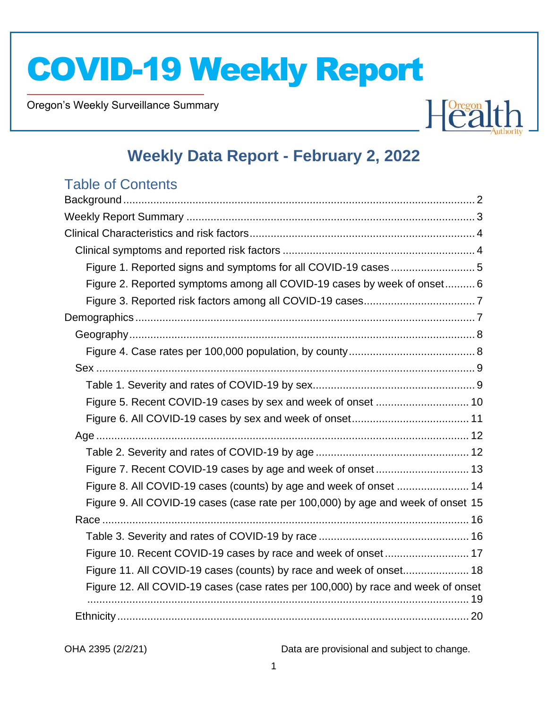Oregon's Weekly Surveillance Summary

Novel Coronavirus (COVID-19)



## **Weekly Data Report - February 2, 2022**

### Table of Contents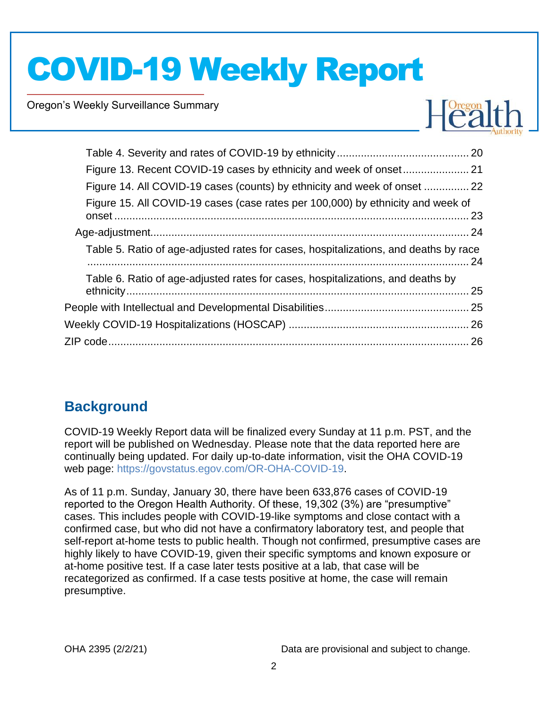Oregon's Weekly Surveillance Summary

Novel Coronavirus (COVID-19)



| Figure 14. All COVID-19 cases (counts) by ethnicity and week of onset  22            |  |
|--------------------------------------------------------------------------------------|--|
| Figure 15. All COVID-19 cases (case rates per 100,000) by ethnicity and week of      |  |
|                                                                                      |  |
| Table 5. Ratio of age-adjusted rates for cases, hospitalizations, and deaths by race |  |
| Table 6. Ratio of age-adjusted rates for cases, hospitalizations, and deaths by      |  |
|                                                                                      |  |
|                                                                                      |  |
|                                                                                      |  |
|                                                                                      |  |

## <span id="page-1-0"></span>**Background**

COVID-19 Weekly Report data will be finalized every Sunday at 11 p.m. PST, and the report will be published on Wednesday. Please note that the data reported here are continually being updated. For daily up-to-date information, visit the OHA COVID-19 web page: [https://govstatus.egov.com/OR-OHA-COVID-19.](https://govstatus.egov.com/OR-OHA-COVID-19)

As of 11 p.m. Sunday, January 30, there have been 633,876 cases of COVID-19 reported to the Oregon Health Authority. Of these, 19,302 (3%) are "presumptive" cases. This includes people with COVID-19-like symptoms and close contact with a confirmed case, but who did not have a confirmatory laboratory test, and people that self-report at-home tests to public health. Though not confirmed, presumptive cases are highly likely to have COVID-19, given their specific symptoms and known exposure or at-home positive test. If a case later tests positive at a lab, that case will be recategorized as confirmed. If a case tests positive at home, the case will remain presumptive.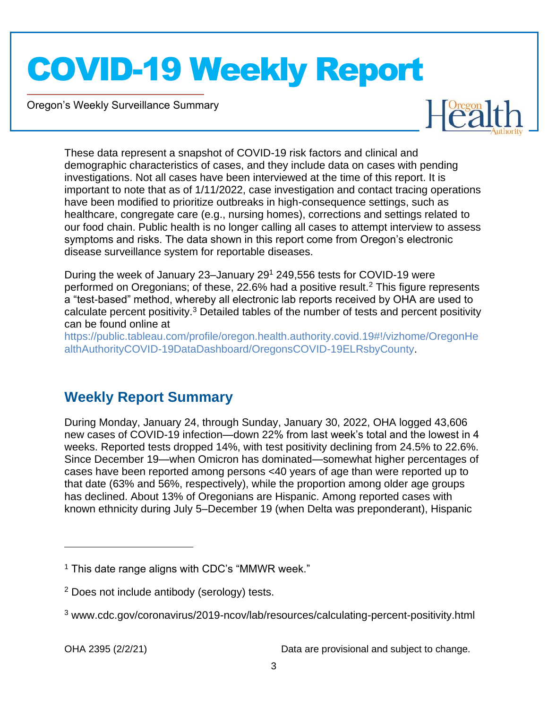Oregon's Weekly Surveillance Summary

Novel Coronavirus (COVID-19)



These data represent a snapshot of COVID-19 risk factors and clinical and demographic characteristics of cases, and they include data on cases with pending investigations. Not all cases have been interviewed at the time of this report. It is important to note that as of 1/11/2022, case investigation and contact tracing operations have been modified to prioritize outbreaks in high-consequence settings, such as healthcare, congregate care (e.g., nursing homes), corrections and settings related to our food chain. Public health is no longer calling all cases to attempt interview to assess symptoms and risks. The data shown in this report come from Oregon's electronic disease surveillance system for reportable diseases.

During the week of January 23–January 29<sup>1</sup> 249,556 tests for COVID-19 were performed on Oregonians; of these, 22.6% had a positive result.<sup>2</sup> This figure represents a "test-based" method, whereby all electronic lab reports received by OHA are used to calculate percent positivity.<sup>3</sup> Detailed tables of the number of tests and percent positivity can be found online at

[https://public.tableau.com/profile/oregon.health.authority.covid.19#!/vizhome/OregonHe](https://public.tableau.com/profile/oregon.health.authority.covid.19#!/vizhome/OregonHealthAuthorityCOVID-19DataDashboard/OregonsCOVID-19ELRsbyCounty) [althAuthorityCOVID-19DataDashboard/OregonsCOVID-19ELRsbyCounty.](https://public.tableau.com/profile/oregon.health.authority.covid.19#!/vizhome/OregonHealthAuthorityCOVID-19DataDashboard/OregonsCOVID-19ELRsbyCounty)

### <span id="page-2-0"></span>**Weekly Report Summary**

During Monday, January 24, through Sunday, January 30, 2022, OHA logged 43,606 new cases of COVID-19 infection—down 22% from last week's total and the lowest in 4 weeks. Reported tests dropped 14%, with test positivity declining from 24.5% to 22.6%. Since December 19—when Omicron has dominated—somewhat higher percentages of cases have been reported among persons <40 years of age than were reported up to that date (63% and 56%, respectively), while the proportion among older age groups has declined. About 13% of Oregonians are Hispanic. Among reported cases with known ethnicity during July 5–December 19 (when Delta was preponderant), Hispanic

 $<sup>1</sup>$  This date range aligns with CDC's "MMWR week."</sup>

<sup>2</sup> Does not include antibody (serology) tests.

<sup>3</sup> www.cdc.gov/coronavirus/2019-ncov/lab/resources/calculating-percent-positivity.html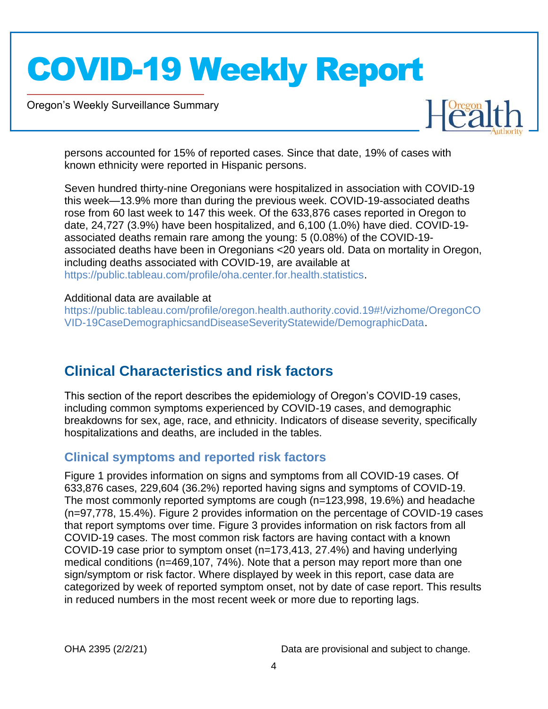Oregon's Weekly Surveillance Summary

Novel Coronavirus (COVID-19)



persons accounted for 15% of reported cases. Since that date, 19% of cases with known ethnicity were reported in Hispanic persons.

Seven hundred thirty-nine Oregonians were hospitalized in association with COVID-19 this week—13.9% more than during the previous week. COVID-19-associated deaths rose from 60 last week to 147 this week. Of the 633,876 cases reported in Oregon to date, 24,727 (3.9%) have been hospitalized, and 6,100 (1.0%) have died. COVID-19 associated deaths remain rare among the young: 5 (0.08%) of the COVID-19 associated deaths have been in Oregonians <20 years old. Data on mortality in Oregon, including deaths associated with COVID-19, are available at [https://public.tableau.com/profile/oha.center.for.health.statistics.](https://public.tableau.com/profile/oha.center.for.health.statistics)

#### Additional data are available at

[https://public.tableau.com/profile/oregon.health.authority.covid.19#!/vizhome/OregonCO](https://public.tableau.com/profile/oregon.health.authority.covid.19#!/vizhome/OregonCOVID-19CaseDemographicsandDiseaseSeverityStatewide/DemographicData) [VID-19CaseDemographicsandDiseaseSeverityStatewide/DemographicData.](https://public.tableau.com/profile/oregon.health.authority.covid.19#!/vizhome/OregonCOVID-19CaseDemographicsandDiseaseSeverityStatewide/DemographicData)

### <span id="page-3-0"></span>**Clinical Characteristics and risk factors**

This section of the report describes the epidemiology of Oregon's COVID-19 cases, including common symptoms experienced by COVID-19 cases, and demographic breakdowns for sex, age, race, and ethnicity. Indicators of disease severity, specifically hospitalizations and deaths, are included in the tables.

#### <span id="page-3-1"></span>**Clinical symptoms and reported risk factors**

Figure 1 provides information on signs and symptoms from all COVID-19 cases. Of 633,876 cases, 229,604 (36.2%) reported having signs and symptoms of COVID-19. The most commonly reported symptoms are cough (n=123,998, 19.6%) and headache (n=97,778, 15.4%). Figure 2 provides information on the percentage of COVID-19 cases that report symptoms over time. Figure 3 provides information on risk factors from all COVID-19 cases. The most common risk factors are having contact with a known COVID-19 case prior to symptom onset (n=173,413, 27.4%) and having underlying medical conditions (n=469,107, 74%). Note that a person may report more than one sign/symptom or risk factor. Where displayed by week in this report, case data are categorized by week of reported symptom onset, not by date of case report. This results in reduced numbers in the most recent week or more due to reporting lags.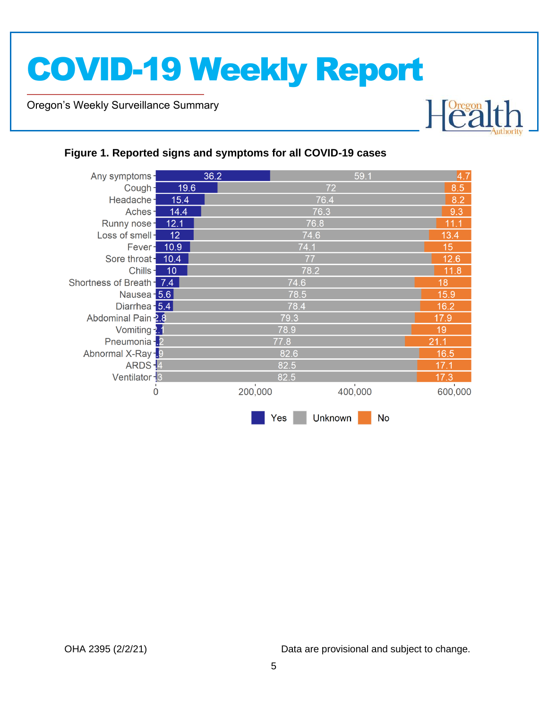Oregon's Weekly Surveillance Summary

Novel Coronavirus (COVID-19)



#### <span id="page-4-0"></span>**Figure 1. Reported signs and symptoms for all COVID-19 cases**

| Any symptoms-             |      | 36.2    |      | 59.1           |    | 4.7     |  |  |
|---------------------------|------|---------|------|----------------|----|---------|--|--|
| Cough-                    | 19.6 | 72      |      |                |    | 8.5     |  |  |
| Headache-                 | 15.4 | 76.4    |      |                |    |         |  |  |
| Aches-                    | 14.4 |         | 9.3  |                |    |         |  |  |
| Runny nose-               | 12.1 |         | 76.8 |                |    | 11.1    |  |  |
| Loss of smell-            | 12   |         | 74.6 |                |    | 13.4    |  |  |
| Fever-                    | 10.9 |         | 74.1 |                |    | 15      |  |  |
| Sore throat-              | 10.4 |         | 77   |                |    | 12.6    |  |  |
| Chills-                   | 10   |         | 78.2 |                |    | 11.8    |  |  |
| Shortness of Breath - 7.4 |      |         | 74.6 |                |    | 18      |  |  |
| Nausea - 5.6              |      |         | 78.5 |                |    | 15.9    |  |  |
| Diarrhea - 5.4            |      |         | 78.4 |                |    |         |  |  |
| Abdominal Pain -2.8       |      |         |      | 17.9           |    |         |  |  |
| Vomiting $\frac{1}{2}$ 1  |      |         | 78.9 |                |    | 19      |  |  |
| Pneumonia - 2             |      |         | 77.8 |                |    | 21.1    |  |  |
| Abnormal X-Ray -. 9       |      |         | 82.6 |                |    | 16.5    |  |  |
| ARDS-4                    |      |         | 82.5 |                |    |         |  |  |
| Ventilator - 3            |      |         | 82.5 |                |    | 17.3    |  |  |
| 0                         |      | 200,000 |      | 400,000        |    | 600,000 |  |  |
|                           |      |         | Yes  | <b>Unknown</b> | No |         |  |  |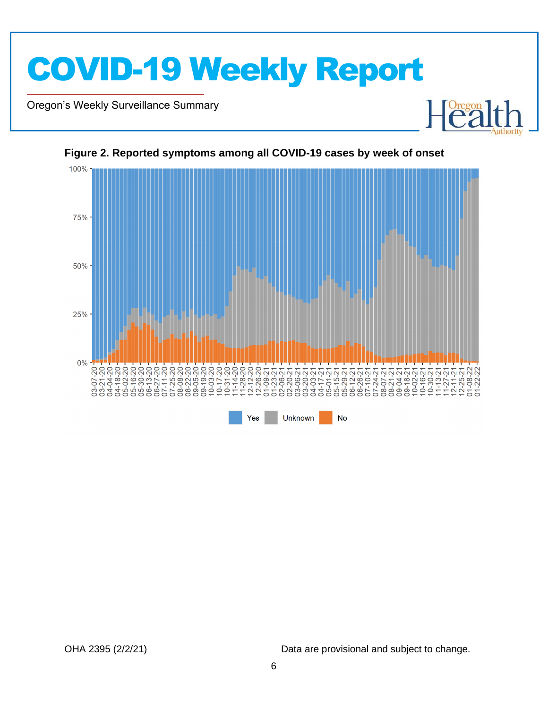

Oregon's Weekly Surveillance Summary

Novel Coronavirus (COVID-19)



#### <span id="page-5-0"></span>**Figure 2. Reported symptoms among all COVID-19 cases by week of onset**

OHA 2395 (2/2/21) Data are provisional and subject to change.

Heal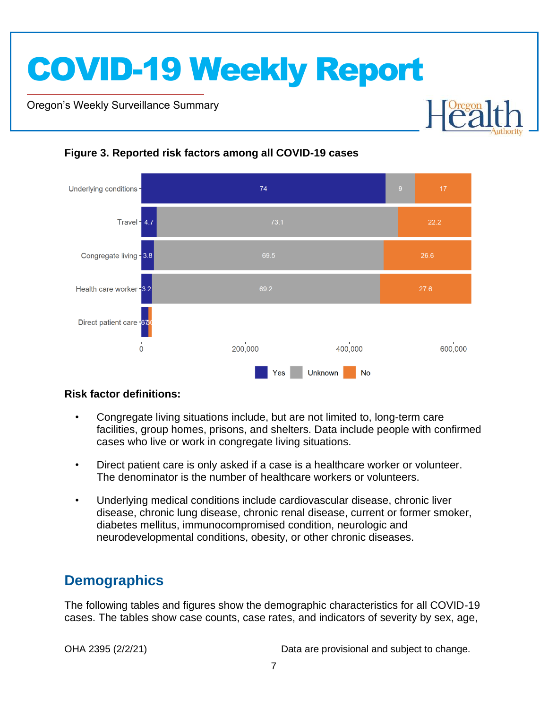Oregon's Weekly Surveillance Summary

Novel Coronavirus (COVID-19)



#### <span id="page-6-0"></span>**Figure 3. Reported risk factors among all COVID-19 cases**

#### **Risk factor definitions:**

- Congregate living situations include, but are not limited to, long-term care facilities, group homes, prisons, and shelters. Data include people with confirmed cases who live or work in congregate living situations.
- Direct patient care is only asked if a case is a healthcare worker or volunteer. The denominator is the number of healthcare workers or volunteers.
- Underlying medical conditions include cardiovascular disease, chronic liver disease, chronic lung disease, chronic renal disease, current or former smoker, diabetes mellitus, immunocompromised condition, neurologic and neurodevelopmental conditions, obesity, or other chronic diseases.

### <span id="page-6-1"></span>**Demographics**

The following tables and figures show the demographic characteristics for all COVID-19 cases. The tables show case counts, case rates, and indicators of severity by sex, age,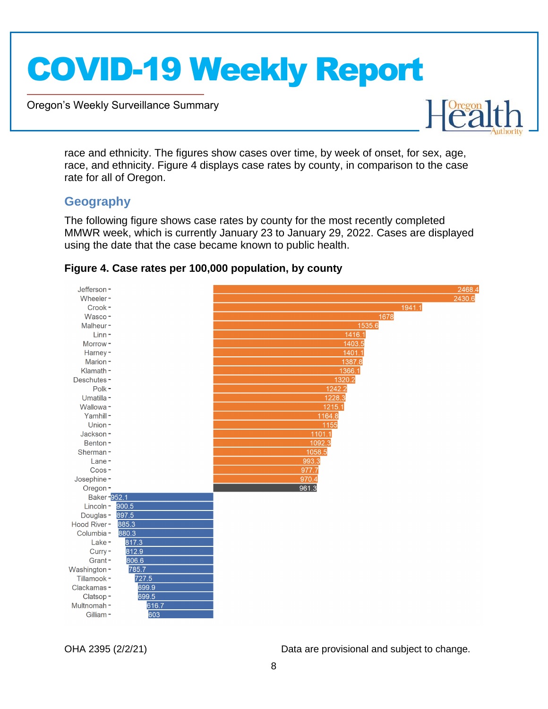Oregon's Weekly Surveillance Summary



race and ethnicity. The figures show cases over time, by week of onset, for sex, age, race, and ethnicity. Figure 4 displays case rates by county, in comparison to the case rate for all of Oregon.

#### <span id="page-7-0"></span>**Geography**

Novel Coronavirus (COVID-19)

The following figure shows case rates by county for the most recently completed MMWR week, which is currently January 23 to January 29, 2022. Cases are displayed using the date that the case became known to public health.



#### <span id="page-7-1"></span>**Figure 4. Case rates per 100,000 population, by county**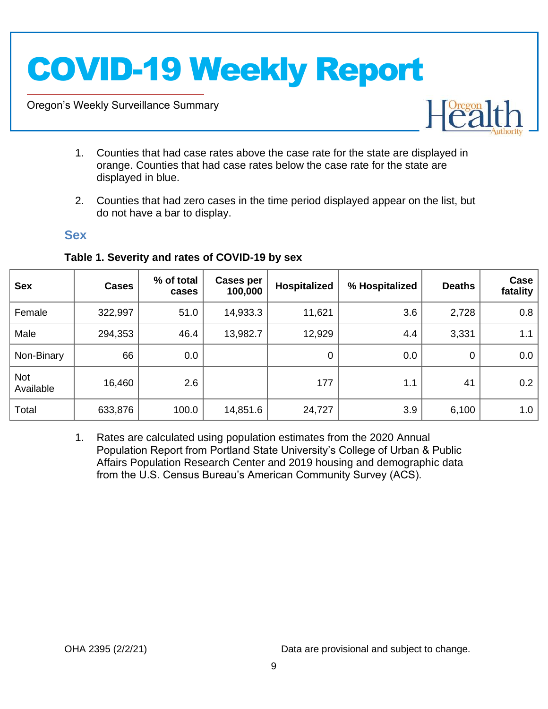Oregon's Weekly Surveillance Summary

Novel Coronavirus (COVID-19)



- 1. Counties that had case rates above the case rate for the state are displayed in orange. Counties that had case rates below the case rate for the state are displayed in blue.
- 2. Counties that had zero cases in the time period displayed appear on the list, but do not have a bar to display.

#### <span id="page-8-0"></span>**Sex**

| <b>Sex</b>              | <b>Cases</b> | % of total<br>cases | Cases per<br>100,000 | Hospitalized | % Hospitalized | <b>Deaths</b> | Case<br>fatality |
|-------------------------|--------------|---------------------|----------------------|--------------|----------------|---------------|------------------|
| Female                  | 322,997      | 51.0                | 14,933.3             | 11,621       | 3.6            | 2,728         | 0.8              |
| Male                    | 294,353      | 46.4                | 13,982.7             | 12,929       | 4.4            | 3,331         | 1.1              |
| Non-Binary              | 66           | 0.0                 |                      | $\mathbf 0$  | 0.0            | 0             | 0.0              |
| <b>Not</b><br>Available | 16,460       | 2.6                 |                      | 177          | 1.1            | 41            | 0.2              |
| Total                   | 633,876      | 100.0               | 14,851.6             | 24,727       | 3.9            | 6,100         | 1.0              |

#### <span id="page-8-1"></span>**Table 1. Severity and rates of COVID-19 by sex**

1. Rates are calculated using population estimates from the 2020 Annual Population Report from Portland State University's College of Urban & Public Affairs Population Research Center and 2019 housing and demographic data from the U.S. Census Bureau's American Community Survey (ACS).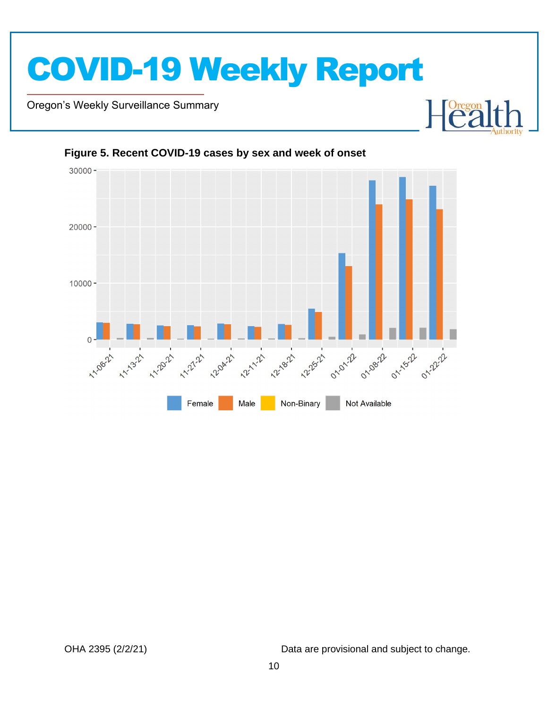Oregon's Weekly Surveillance Summary

Novel Coronavirus (COVID-19)



#### <span id="page-9-0"></span>**Figure 5. Recent COVID-19 cases by sex and week of onset**

OHA 2395 (2/2/21) Data are provisional and subject to change.

**Dregon**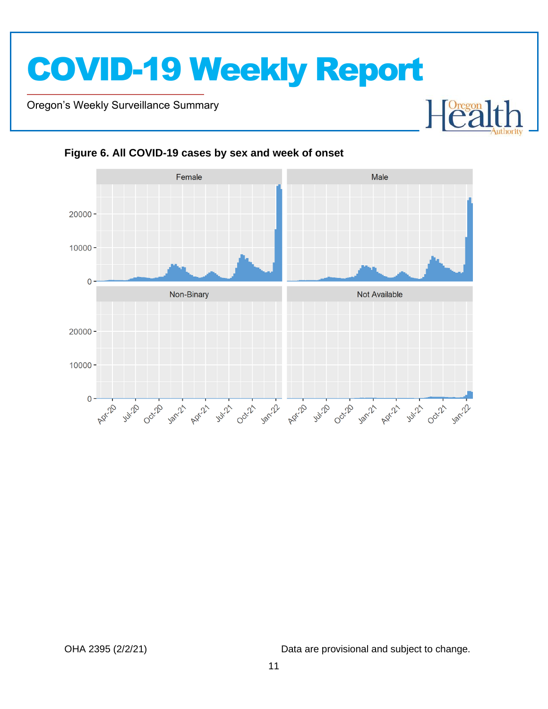Oregon's Weekly Surveillance Summary

Novel Coronavirus (COVID-19)



<span id="page-10-0"></span>

OHA 2395 (2/2/21) Data are provisional and subject to change.

 $\begin{bmatrix} \text{Oregon} \\ \text{C2} \end{bmatrix}$ 

┠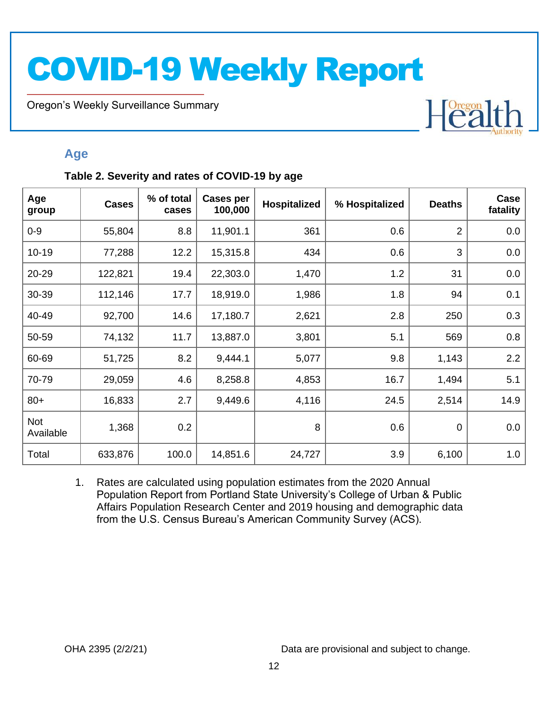Oregon's Weekly Surveillance Summary

Novel Coronavirus (COVID-19)

# Heal

### <span id="page-11-0"></span>**Age**

#### <span id="page-11-1"></span>**Table 2. Severity and rates of COVID-19 by age**

| Age<br>group     | <b>Cases</b> | % of total<br>cases | <b>Cases per</b><br>100,000 | <b>Hospitalized</b> | % Hospitalized | <b>Deaths</b>  | Case<br>fatality |
|------------------|--------------|---------------------|-----------------------------|---------------------|----------------|----------------|------------------|
| $0 - 9$          | 55,804       | 8.8                 | 11,901.1                    | 361                 | 0.6            | $\overline{2}$ | 0.0              |
| $10 - 19$        | 77,288       | 12.2                | 15,315.8                    | 434                 | 0.6            | 3              | 0.0              |
| 20-29            | 122,821      | 19.4                | 22,303.0                    | 1,470               | 1.2            | 31             | 0.0              |
| 30-39            | 112,146      | 17.7                | 18,919.0                    | 1,986               | 1.8            | 94             | 0.1              |
| 40-49            | 92,700       | 14.6                | 17,180.7                    | 2,621               | 2.8            | 250            | 0.3              |
| 50-59            | 74,132       | 11.7                | 13,887.0                    | 3,801               | 5.1            | 569            | 0.8              |
| 60-69            | 51,725       | 8.2                 | 9,444.1                     | 5,077               | 9.8            | 1,143          | 2.2              |
| 70-79            | 29,059       | 4.6                 | 8,258.8                     | 4,853               | 16.7           | 1,494          | 5.1              |
| $80+$            | 16,833       | 2.7                 | 9,449.6                     | 4,116               | 24.5           | 2,514          | 14.9             |
| Not<br>Available | 1,368        | 0.2                 |                             | 8                   | 0.6            | $\mathbf 0$    | 0.0              |
| Total            | 633,876      | 100.0               | 14,851.6                    | 24,727              | 3.9            | 6,100          | 1.0              |

1. Rates are calculated using population estimates from the 2020 Annual Population Report from Portland State University's College of Urban & Public Affairs Population Research Center and 2019 housing and demographic data from the U.S. Census Bureau's American Community Survey (ACS).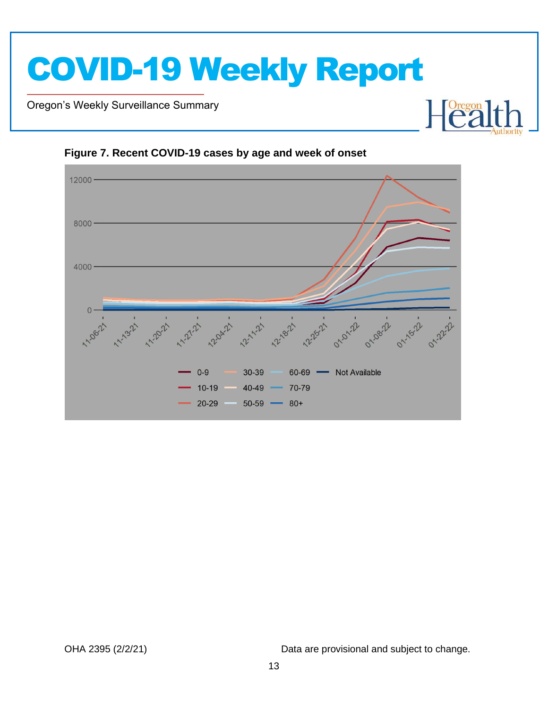

Oregon's Weekly Surveillance Summary

Novel Coronavirus (COVID-19)





<span id="page-12-0"></span>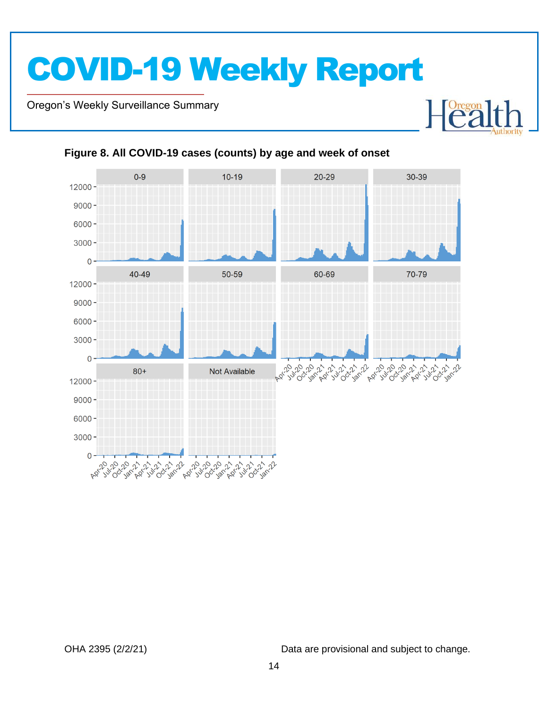Oregon's Weekly Surveillance Summary

Novel Coronavirus (COVID-19)



#### <span id="page-13-0"></span>**Figure 8. All COVID-19 cases (counts) by age and week of onset**

OHA 2395 (2/2/21) Data are provisional and subject to change.

Heal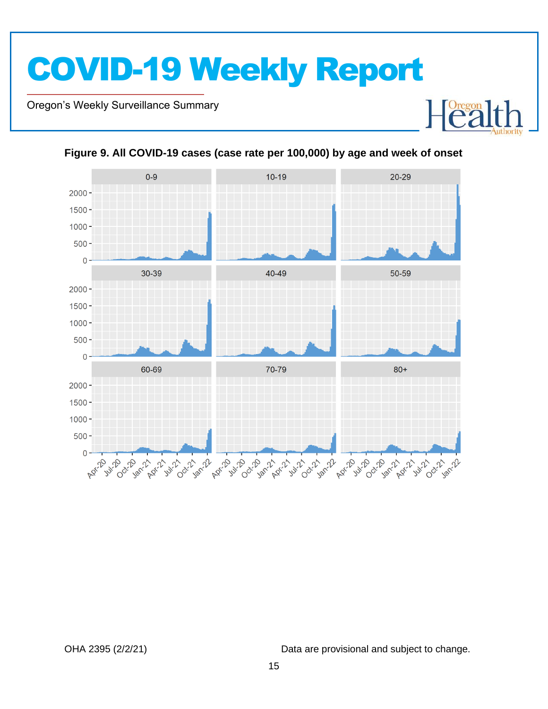Oregon's Weekly Surveillance Summary

Novel Coronavirus (COVID-19)



<span id="page-14-0"></span>

OHA 2395 (2/2/21) Data are provisional and subject to change.

Heal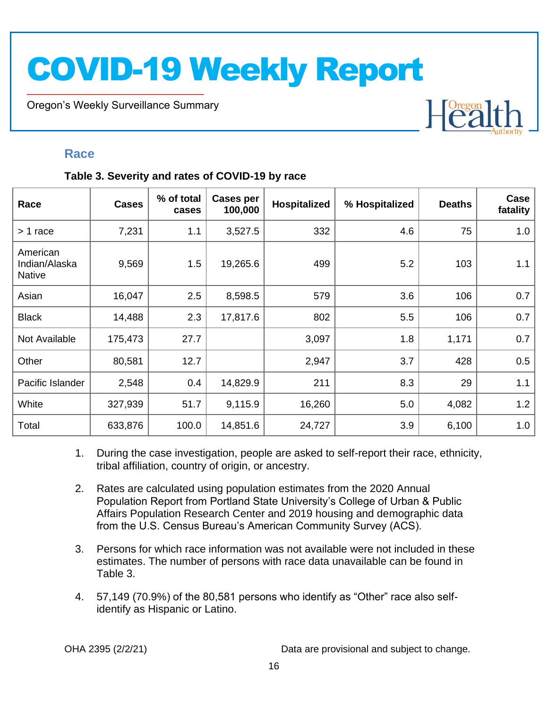Oregon's Weekly Surveillance Summary

# Heal

#### <span id="page-15-0"></span>**Race**

Novel Coronavirus (COVID-19)

#### <span id="page-15-1"></span>**Table 3. Severity and rates of COVID-19 by race**

| Race                                       | <b>Cases</b> | % of total<br>cases | <b>Cases per</b><br>100,000 | Hospitalized | % Hospitalized | <b>Deaths</b> | Case<br>fatality |
|--------------------------------------------|--------------|---------------------|-----------------------------|--------------|----------------|---------------|------------------|
| > 1 race                                   | 7,231        | 1.1                 | 3,527.5                     | 332          | 4.6            | 75            | 1.0              |
| American<br>Indian/Alaska<br><b>Native</b> | 9,569        | 1.5                 | 19,265.6                    | 499          | 5.2            | 103           | 1.1              |
| Asian                                      | 16,047       | 2.5                 | 8,598.5                     | 579          | 3.6            | 106           | 0.7              |
| <b>Black</b>                               | 14,488       | 2.3                 | 17,817.6                    | 802          | 5.5            | 106           | 0.7              |
| Not Available                              | 175,473      | 27.7                |                             | 3,097        | 1.8            | 1,171         | 0.7              |
| Other                                      | 80,581       | 12.7                |                             | 2,947        | 3.7            | 428           | 0.5              |
| Pacific Islander                           | 2,548        | 0.4                 | 14,829.9                    | 211          | 8.3            | 29            | 1.1              |
| White                                      | 327,939      | 51.7                | 9,115.9                     | 16,260       | 5.0            | 4,082         | 1.2              |
| Total                                      | 633,876      | 100.0               | 14,851.6                    | 24,727       | 3.9            | 6,100         | 1.0              |

- 1. During the case investigation, people are asked to self-report their race, ethnicity, tribal affiliation, country of origin, or ancestry.
- 2. Rates are calculated using population estimates from the 2020 Annual Population Report from Portland State University's College of Urban & Public Affairs Population Research Center and 2019 housing and demographic data from the U.S. Census Bureau's American Community Survey (ACS).
- 3. Persons for which race information was not available were not included in these estimates. The number of persons with race data unavailable can be found in Table 3.
- 4. 57,149 (70.9%) of the 80,581 persons who identify as "Other" race also selfidentify as Hispanic or Latino.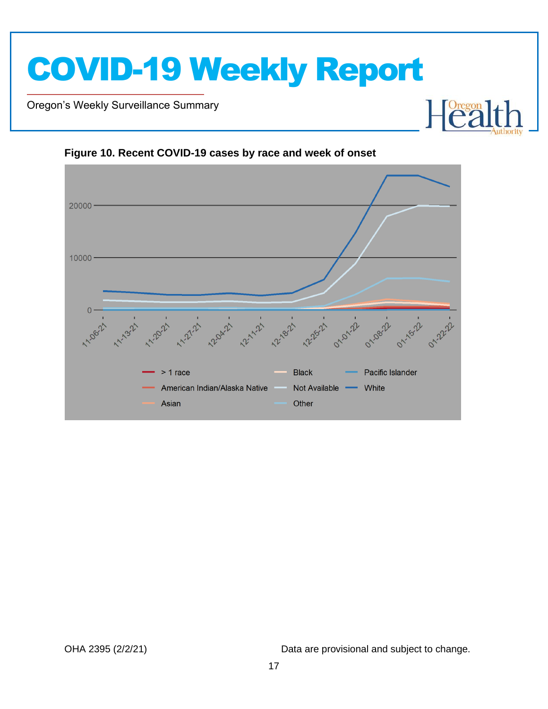Oregon's Weekly Surveillance Summary

Novel Coronavirus (COVID-19)



#### <span id="page-16-0"></span>**Figure 10. Recent COVID-19 cases by race and week of onset**

OHA 2395 (2/2/21) Data are provisional and subject to change.

Heal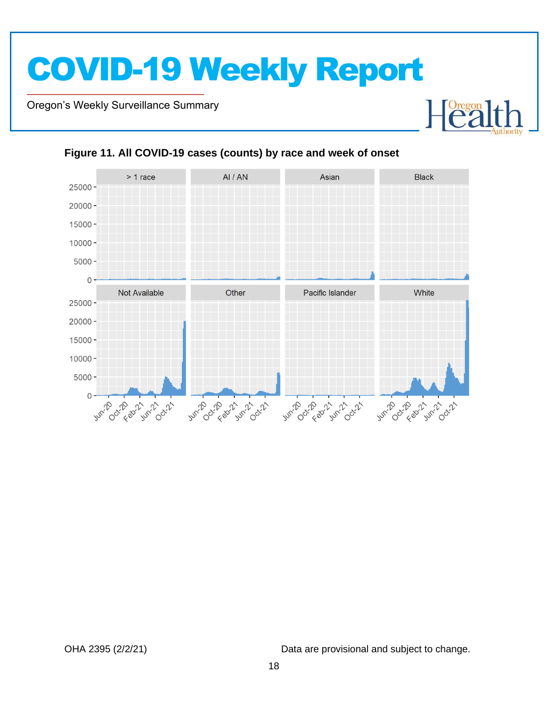Oregon's Weekly Surveillance Summary

Novel Coronavirus (COVID-19)



#### <span id="page-17-0"></span>**Figure 11. All COVID-19 cases (counts) by race and week of onset**

OHA 2395 (2/2/21) Data are provisional and subject to change.

Heal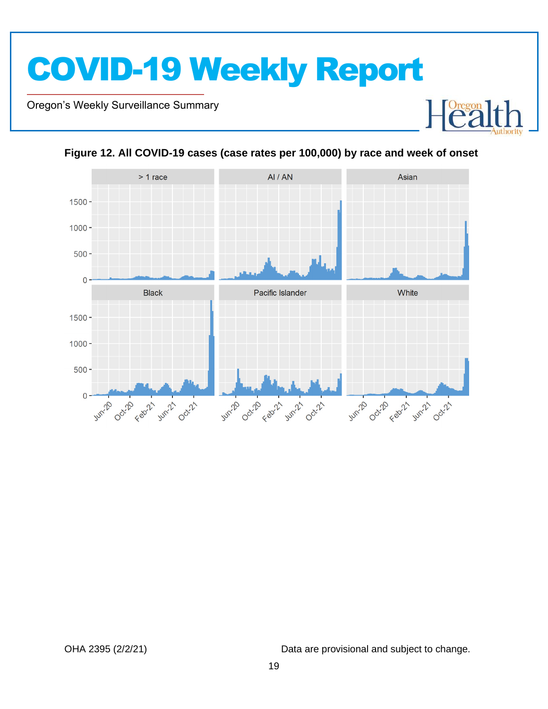Oregon's Weekly Surveillance Summary

Novel Coronavirus (COVID-19)





#### <span id="page-18-0"></span>**Figure 12. All COVID-19 cases (case rates per 100,000) by race and week of onset**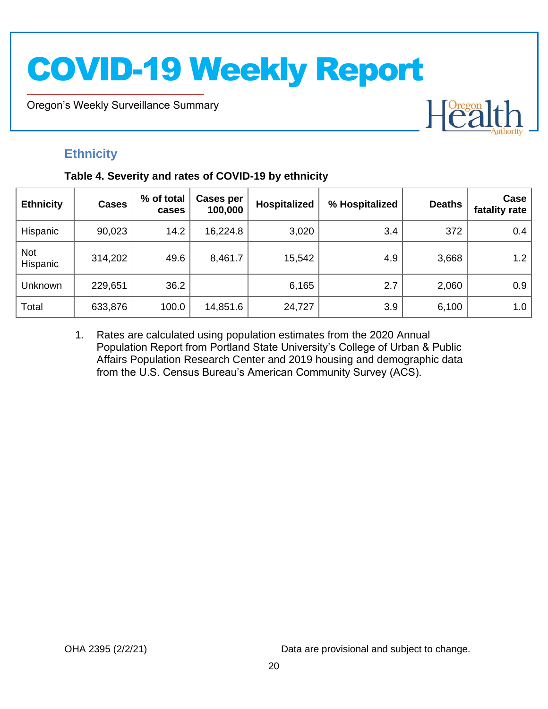Oregon's Weekly Surveillance Summary

# Heal

### <span id="page-19-0"></span>**Ethnicity**

Novel Coronavirus (COVID-19)

#### <span id="page-19-1"></span>**Table 4. Severity and rates of COVID-19 by ethnicity**

| <b>Ethnicity</b>       | <b>Cases</b> | % of total<br>cases | Cases per<br>100,000 | <b>Hospitalized</b> | % Hospitalized | <b>Deaths</b> | Case<br>fatality rate |
|------------------------|--------------|---------------------|----------------------|---------------------|----------------|---------------|-----------------------|
| Hispanic               | 90,023       | 14.2                | 16,224.8             | 3,020               | 3.4            | 372           | 0.4                   |
| <b>Not</b><br>Hispanic | 314,202      | 49.6                | 8,461.7              | 15,542              | 4.9            | 3,668         | 1.2                   |
| Unknown                | 229,651      | 36.2                |                      | 6,165               | 2.7            | 2,060         | 0.9                   |
| Total                  | 633,876      | 100.0               | 14,851.6             | 24,727              | 3.9            | 6,100         | 1.0                   |

1. Rates are calculated using population estimates from the 2020 Annual Population Report from Portland State University's College of Urban & Public Affairs Population Research Center and 2019 housing and demographic data from the U.S. Census Bureau's American Community Survey (ACS).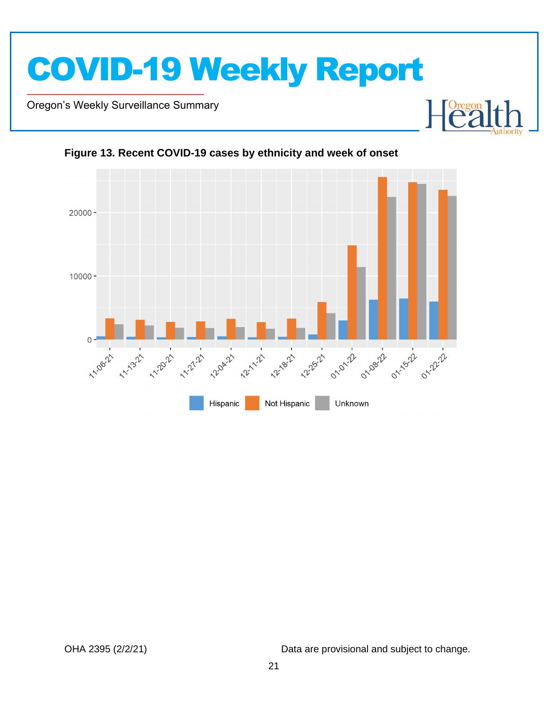

Oregon's Weekly Surveillance Summary

Novel Coronavirus (COVID-19)





<span id="page-20-0"></span>**Figure 13. Recent COVID-19 cases by ethnicity and week of onset**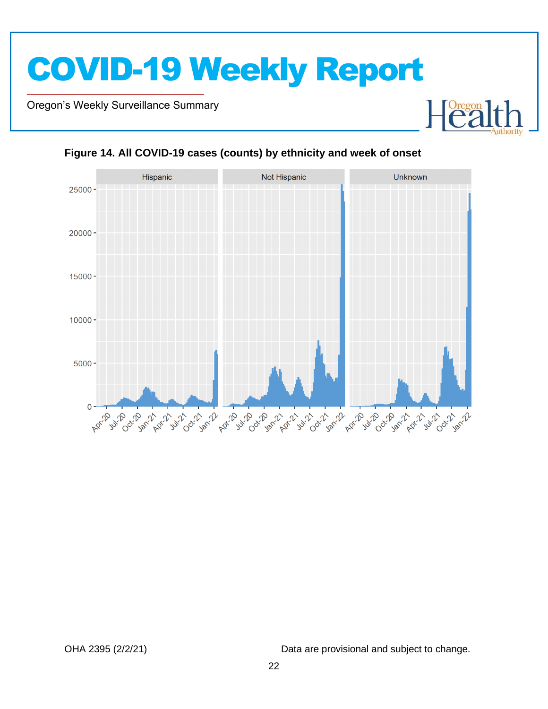Oregon's Weekly Surveillance Summary

Novel Coronavirus (COVID-19)



#### <span id="page-21-0"></span>**Figure 14. All COVID-19 cases (counts) by ethnicity and week of onset**

OHA 2395 (2/2/21) Data are provisional and subject to change.

Foregon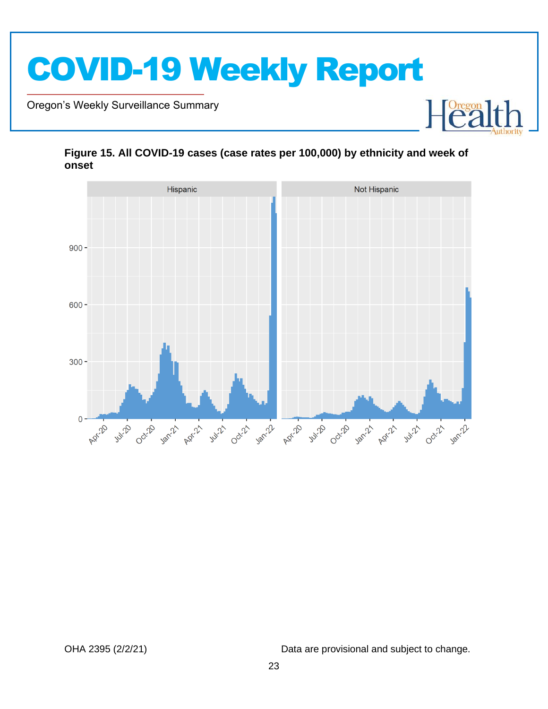

Oregon's Weekly Surveillance Summary

Novel Coronavirus (COVID-19)



#### <span id="page-22-0"></span>**Figure 15. All COVID-19 cases (case rates per 100,000) by ethnicity and week of onset**

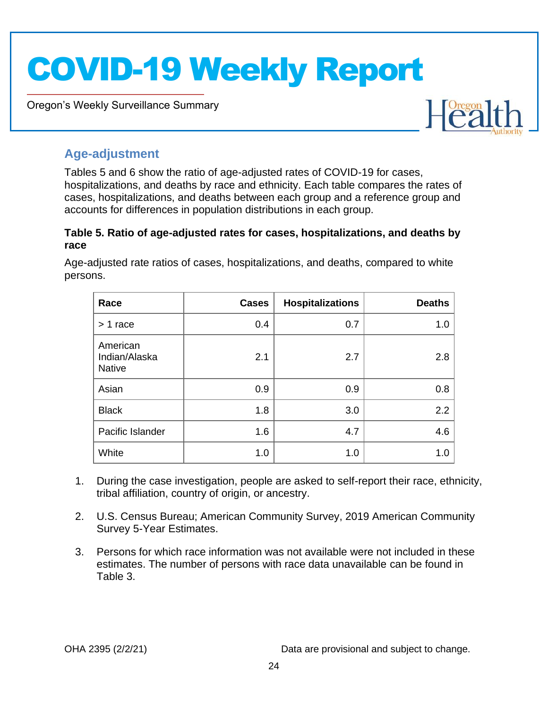Oregon's Weekly Surveillance Summary



### <span id="page-23-0"></span>**Age-adjustment**

Novel Coronavirus (COVID-19)

Tables 5 and 6 show the ratio of age-adjusted rates of COVID-19 for cases, hospitalizations, and deaths by race and ethnicity. Each table compares the rates of cases, hospitalizations, and deaths between each group and a reference group and accounts for differences in population distributions in each group.

#### <span id="page-23-1"></span>**Table 5. Ratio of age-adjusted rates for cases, hospitalizations, and deaths by race**

| Race                                       | <b>Cases</b> | <b>Hospitalizations</b> | <b>Deaths</b> |
|--------------------------------------------|--------------|-------------------------|---------------|
| $> 1$ race                                 | 0.4          | 0.7                     | 1.0           |
| American<br>Indian/Alaska<br><b>Native</b> | 2.1          | 2.7                     | 2.8           |
| Asian                                      | 0.9          | 0.9                     | 0.8           |
| <b>Black</b>                               | 1.8          | 3.0                     | 2.2           |
| Pacific Islander                           | 1.6          | 4.7                     | 4.6           |
| White                                      | 1.0          | 1.0                     | 1.0           |

Age-adjusted rate ratios of cases, hospitalizations, and deaths, compared to white persons.

- 1. During the case investigation, people are asked to self-report their race, ethnicity, tribal affiliation, country of origin, or ancestry.
- 2. U.S. Census Bureau; American Community Survey, 2019 American Community Survey 5-Year Estimates.
- 3. Persons for which race information was not available were not included in these estimates. The number of persons with race data unavailable can be found in Table 3.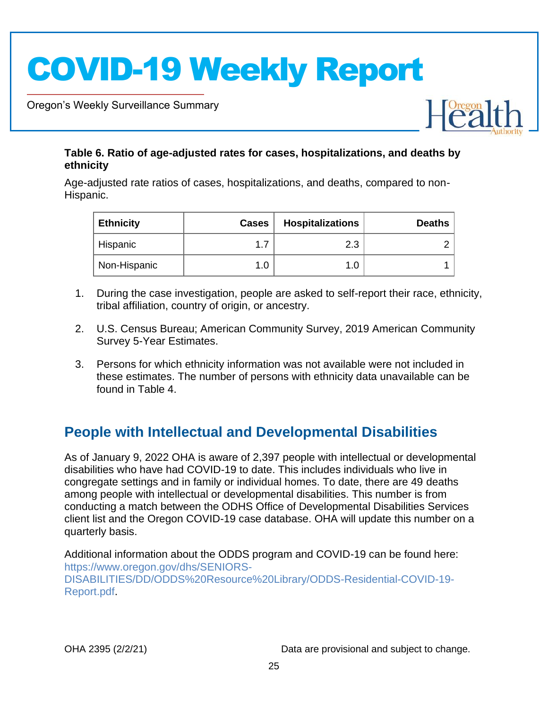Oregon's Weekly Surveillance Summary

Novel Coronavirus (COVID-19)

#### <span id="page-24-0"></span>**Table 6. Ratio of age-adjusted rates for cases, hospitalizations, and deaths by ethnicity**

Age-adjusted rate ratios of cases, hospitalizations, and deaths, compared to non-Hispanic.

| <b>Ethnicity</b> | <b>Cases</b> | <b>Hospitalizations</b> | <b>Deaths</b> |
|------------------|--------------|-------------------------|---------------|
| Hispanic         | 17           | 2.3                     |               |
| Non-Hispanic     |              |                         |               |

- 1. During the case investigation, people are asked to self-report their race, ethnicity, tribal affiliation, country of origin, or ancestry.
- 2. U.S. Census Bureau; American Community Survey, 2019 American Community Survey 5-Year Estimates.
- 3. Persons for which ethnicity information was not available were not included in these estimates. The number of persons with ethnicity data unavailable can be found in Table 4.

### <span id="page-24-1"></span>**People with Intellectual and Developmental Disabilities**

As of January 9, 2022 OHA is aware of 2,397 people with intellectual or developmental disabilities who have had COVID-19 to date. This includes individuals who live in congregate settings and in family or individual homes. To date, there are 49 deaths among people with intellectual or developmental disabilities. This number is from conducting a match between the ODHS Office of Developmental Disabilities Services client list and the Oregon COVID-19 case database. OHA will update this number on a quarterly basis.

Additional information about the ODDS program and COVID-19 can be found here: [https://www.oregon.gov/dhs/SENIORS-](https://www.oregon.gov/dhs/SENIORS-DISABILITIES/DD/ODDS%20Resource%20Library/ODDS-Residential-COVID-19-Report.pdf)[DISABILITIES/DD/ODDS%20Resource%20Library/ODDS-Residential-COVID-19-](https://www.oregon.gov/dhs/SENIORS-DISABILITIES/DD/ODDS%20Resource%20Library/ODDS-Residential-COVID-19-Report.pdf) [Report.pdf.](https://www.oregon.gov/dhs/SENIORS-DISABILITIES/DD/ODDS%20Resource%20Library/ODDS-Residential-COVID-19-Report.pdf)